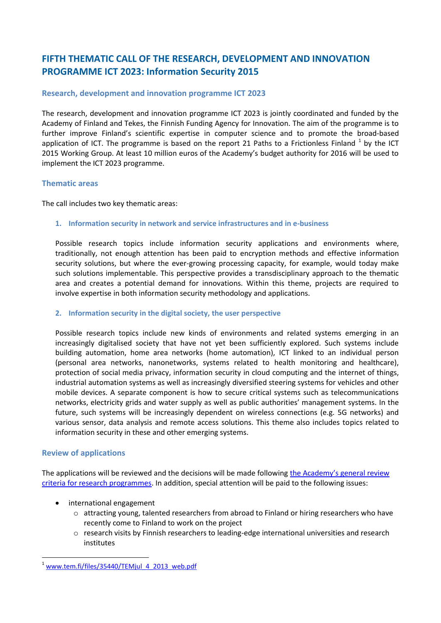# **FIFTH THEMATIC CALL OF THE RESEARCH, DEVELOPMENT AND INNOVATION PROGRAMME ICT 2023: Information Security 2015**

# **Research, development and innovation programme ICT 2023**

The research, development and innovation programme ICT 2023 is jointly coordinated and funded by the Academy of Finland and Tekes, the Finnish Funding Agency for Innovation. The aim of the programme is to further improve Finland's scientific expertise in computer science and to promote the broad-based application of ICT. The programme is based on the report 21 Paths to a Frictionless Finland  $^1$  by the ICT 2015 Working Group. At least 10 million euros of the Academy's budget authority for 2016 will be used to implement the ICT 2023 programme.

## **Thematic areas**

The call includes two key thematic areas:

## **1. Information security in network and service infrastructures and in e-business**

Possible research topics include information security applications and environments where, traditionally, not enough attention has been paid to encryption methods and effective information security solutions, but where the ever-growing processing capacity, for example, would today make such solutions implementable. This perspective provides a transdisciplinary approach to the thematic area and creates a potential demand for innovations. Within this theme, projects are required to involve expertise in both information security methodology and applications.

#### **2. Information security in the digital society, the user perspective**

Possible research topics include new kinds of environments and related systems emerging in an increasingly digitalised society that have not yet been sufficiently explored. Such systems include building automation, home area networks (home automation), ICT linked to an individual person (personal area networks, nanonetworks, systems related to health monitoring and healthcare), protection of social media privacy, information security in cloud computing and the internet of things, industrial automation systems as well as increasingly diversified steering systems for vehicles and other mobile devices. A separate component is how to secure critical systems such as telecommunications networks, electricity grids and water supply as well as public authorities' management systems. In the future, such systems will be increasingly dependent on wireless connections (e.g. 5G networks) and various sensor, data analysis and remote access solutions. This theme also includes topics related to information security in these and other emerging systems.

# **Review of applications**

**.** 

The applications will be reviewed and the decisions will be made following [the Academy's general review](http://www.aka.fi/en/review-and-funding-decisions/how-applications-are-reviewed/)  [criteria for research programmes.](http://www.aka.fi/en/review-and-funding-decisions/how-applications-are-reviewed/) In addition, special attention will be paid to the following issues:

- international engagement
	- $\circ$  attracting young, talented researchers from abroad to Finland or hiring researchers who have recently come to Finland to work on the project
	- o research visits by Finnish researchers to leading-edge international universities and research institutes

[www.tem.fi/files/35440/TEMjul\\_4\\_2013\\_web.pdf](http://www.tem.fi/files/35440/TEMjul_4_2013_web.pdf)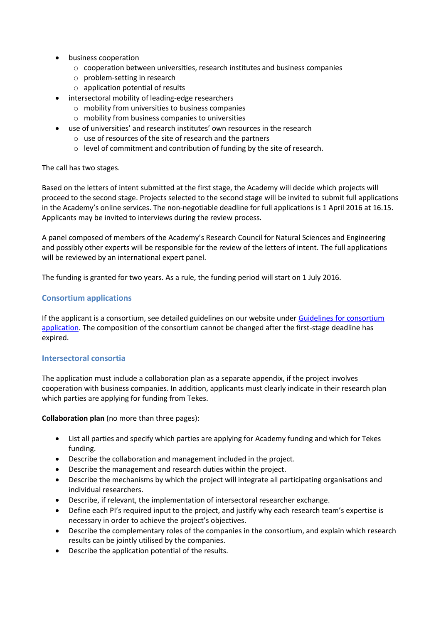- business cooperation
	- o cooperation between universities, research institutes and business companies
	- o problem-setting in research
	- o application potential of results
- intersectoral mobility of leading-edge researchers
	- o mobility from universities to business companies
	- o mobility from business companies to universities
- use of universities' and research institutes' own resources in the research
	- o use of resources of the site of research and the partners
	- o level of commitment and contribution of funding by the site of research.

The call has two stages.

Based on the letters of intent submitted at the first stage, the Academy will decide which projects will proceed to the second stage. Projects selected to the second stage will be invited to submit full applications in the Academy's online services. The non-negotiable deadline for full applications is 1 April 2016 at 16.15. Applicants may be invited to interviews during the review process.

A panel composed of members of the Academy's Research Council for Natural Sciences and Engineering and possibly other experts will be responsible for the review of the letters of intent. The full applications will be reviewed by an international expert panel.

The funding is granted for two years. As a rule, the funding period will start on 1 July 2016.

## **Consortium applications**

If the applicant is a consortium, see detailed guidelines on our website under Guidelines for consortium [application.](http://www.aka.fi/en/funding/how-to-apply/application-guidelines/guidelines-for-consortium-application/) The composition of the consortium cannot be changed after the first-stage deadline has expired.

#### **Intersectoral consortia**

The application must include a collaboration plan as a separate appendix, if the project involves cooperation with business companies. In addition, applicants must clearly indicate in their research plan which parties are applying for funding from Tekes.

**Collaboration plan** (no more than three pages):

- List all parties and specify which parties are applying for Academy funding and which for Tekes funding.
- Describe the collaboration and management included in the project.
- Describe the management and research duties within the project.
- Describe the mechanisms by which the project will integrate all participating organisations and individual researchers.
- Describe, if relevant, the implementation of intersectoral researcher exchange.
- Define each PI's required input to the project, and justify why each research team's expertise is necessary in order to achieve the project's objectives.
- Describe the complementary roles of the companies in the consortium, and explain which research results can be jointly utilised by the companies.
- Describe the application potential of the results.